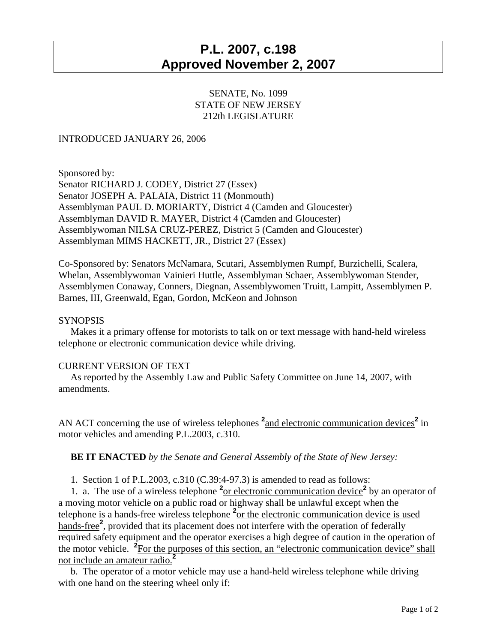# **P.L. 2007, c.198 Approved November 2, 2007**

## SENATE, No. 1099 STATE OF NEW JERSEY 212th LEGISLATURE

## INTRODUCED JANUARY 26, 2006

Sponsored by: Senator RICHARD J. CODEY, District 27 (Essex) Senator JOSEPH A. PALAIA, District 11 (Monmouth) Assemblyman PAUL D. MORIARTY, District 4 (Camden and Gloucester) Assemblyman DAVID R. MAYER, District 4 (Camden and Gloucester) Assemblywoman NILSA CRUZ-PEREZ, District 5 (Camden and Gloucester) Assemblyman MIMS HACKETT, JR., District 27 (Essex)

Co-Sponsored by: Senators McNamara, Scutari, Assemblymen Rumpf, Burzichelli, Scalera, Whelan, Assemblywoman Vainieri Huttle, Assemblyman Schaer, Assemblywoman Stender, Assemblymen Conaway, Conners, Diegnan, Assemblywomen Truitt, Lampitt, Assemblymen P. Barnes, III, Greenwald, Egan, Gordon, McKeon and Johnson

#### **SYNOPSIS**

 Makes it a primary offense for motorists to talk on or text message with hand-held wireless telephone or electronic communication device while driving.

#### CURRENT VERSION OF TEXT

 As reported by the Assembly Law and Public Safety Committee on June 14, 2007, with amendments.

AN ACT concerning the use of wireless telephones  $2$  and electronic communication devices<sup>2</sup> in motor vehicles and amending P.L.2003, c.310.

### **BE IT ENACTED** *by the Senate and General Assembly of the State of New Jersey:*

1. Section 1 of P.L.2003, c.310 (C.39:4-97.3) is amended to read as follows:

1. a. The use of a wireless telephone <sup>2</sup><sub>or electronic communication device</sub><sup>2</sup> by an operator of a moving motor vehicle on a public road or highway shall be unlawful except when the telephone is a hands-free wireless telephone **<sup>2</sup>** or the electronic communication device is used hands-free<sup>2</sup>, provided that its placement does not interfere with the operation of federally required safety equipment and the operator exercises a high degree of caution in the operation of the motor vehicle. <sup>2</sup> For the purposes of this section, an "electronic communication device" shall not include an amateur radio.**<sup>2</sup>**

 b. The operator of a motor vehicle may use a hand-held wireless telephone while driving with one hand on the steering wheel only if: